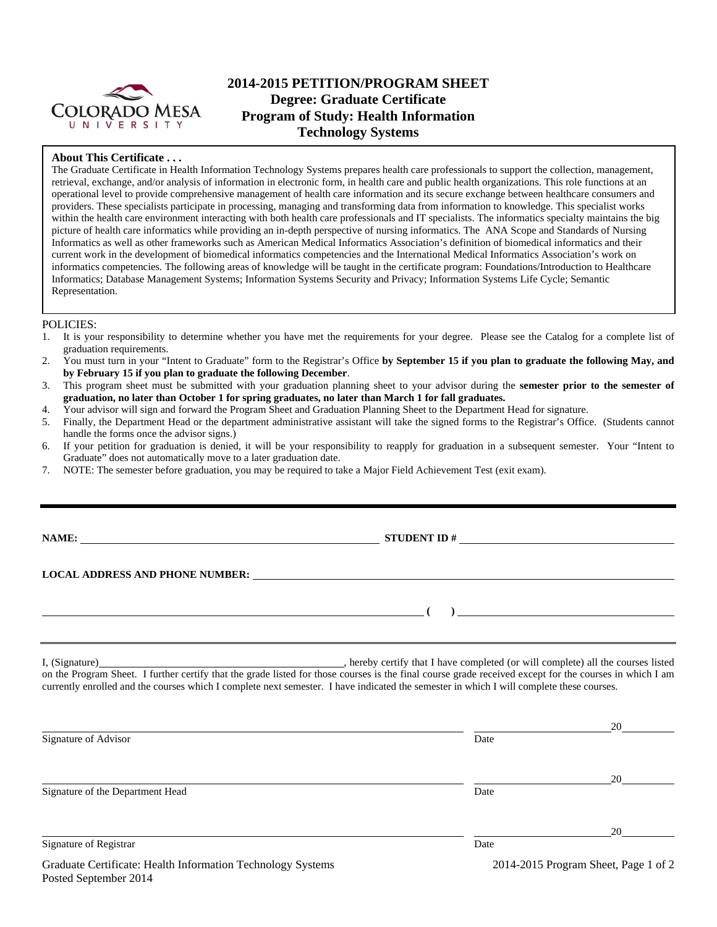

# **2014-2015 PETITION/PROGRAM SHEET Degree: Graduate Certificate Program of Study: Health Information Technology Systems**

### **About This Certificate . . .**

The Graduate Certificate in Health Information Technology Systems prepares health care professionals to support the collection, management, retrieval, exchange, and/or analysis of information in electronic form, in health care and public health organizations. This role functions at an operational level to provide comprehensive management of health care information and its secure exchange between healthcare consumers and providers. These specialists participate in processing, managing and transforming data from information to knowledge. This specialist works within the health care environment interacting with both health care professionals and IT specialists. The informatics specialty maintains the big picture of health care informatics while providing an in-depth perspective of nursing informatics. The ANA Scope and Standards of Nursing Informatics as well as other frameworks such as American Medical Informatics Association's definition of biomedical informatics and their current work in the development of biomedical informatics competencies and the International Medical Informatics Association's work on informatics competencies. The following areas of knowledge will be taught in the certificate program: Foundations/Introduction to Healthcare Informatics; Database Management Systems; Information Systems Security and Privacy; Information Systems Life Cycle; Semantic Representation.

### POLICIES:

- 1. It is your responsibility to determine whether you have met the requirements for your degree. Please see the Catalog for a complete list of graduation requirements.
- 2. You must turn in your "Intent to Graduate" form to the Registrar's Office **by September 15 if you plan to graduate the following May, and by February 15 if you plan to graduate the following December**.
- 3. This program sheet must be submitted with your graduation planning sheet to your advisor during the **semester prior to the semester of graduation, no later than October 1 for spring graduates, no later than March 1 for fall graduates.**
- 4. Your advisor will sign and forward the Program Sheet and Graduation Planning Sheet to the Department Head for signature.
- 5. Finally, the Department Head or the department administrative assistant will take the signed forms to the Registrar's Office. (Students cannot handle the forms once the advisor signs.)
- 6. If your petition for graduation is denied, it will be your responsibility to reapply for graduation in a subsequent semester. Your "Intent to Graduate" does not automatically move to a later graduation date.
- 7. NOTE: The semester before graduation, you may be required to take a Major Field Achievement Test (exit exam).

**NAME: STUDENT ID #**

 **(** )  *(* **)**  *(* **) <b>** *(* )  *(* )  *(* **)** *<b> ( ) <i> (* )  *(* )  *(* )  *(* )  *(* )  *(***) <b>** *(* )  *(***)**  *() <i> (***)**  *() <i> () () () <i> (***)**  *() () () <i>* 

### **LOCAL ADDRESS AND PHONE NUMBER:**

I, (Signature) **Source 2008** (Signature) **, hereby certify that I have completed** (or will complete) all the courses listed on the Program Sheet. I further certify that the grade listed for those courses is the final course grade received except for the courses in which I am currently enrolled and the courses which I complete next semester. I have indicated the semester in which I will complete these courses.

|                                                                     |                                           | 20                                 |
|---------------------------------------------------------------------|-------------------------------------------|------------------------------------|
| Signature of Advisor                                                | Date                                      |                                    |
|                                                                     |                                           | 20                                 |
| Signature of the Department Head                                    | Date                                      |                                    |
|                                                                     |                                           | 20                                 |
| Signature of Registrar                                              | Date                                      |                                    |
| $\alpha$ is $\alpha$ in the state of $\alpha$ in the state $\alpha$ | $\sim$ $\sim$ $\sim$ $\sim$ $\sim$ $\sim$ | $\sim$ $\sim$ $\sim$ $\sim$ $\sim$ |